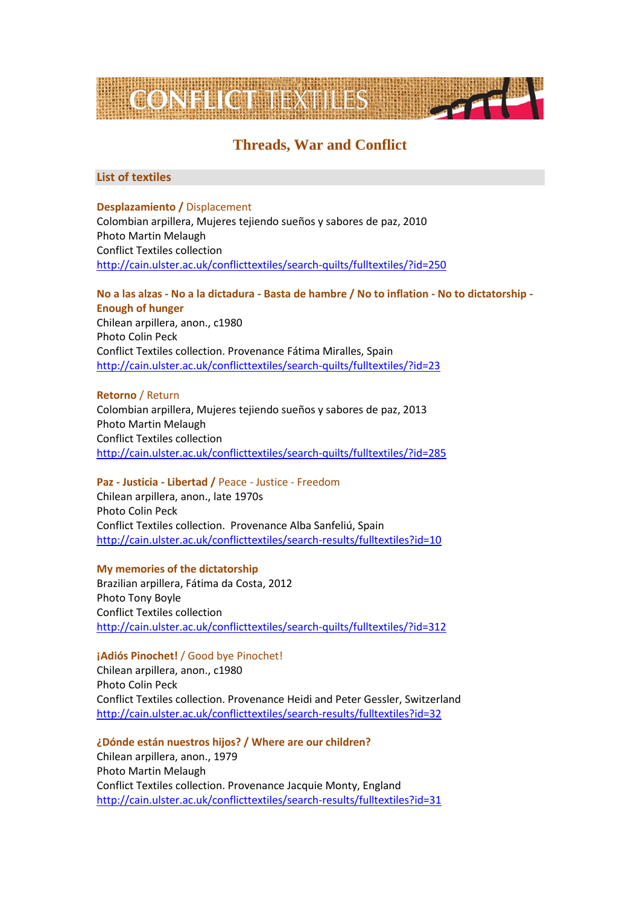

# **Threads, War and Conflict**

## **List of textiles**

## **Desplazamiento /** Displacement

Colombian arpillera, Mujeres tejiendo sueños y sabores de paz, 2010 Photo Martin Melaugh Conflict Textiles collection <http://cain.ulster.ac.uk/conflicttextiles/search-quilts/fulltextiles/?id=250>

## **No a las alzas - No a la dictadura - Basta de hambre / No to inflation - No to dictatorship - Enough of hunger**

Chilean arpillera, anon., c1980 Photo Colin Peck Conflict Textiles collection. Provenance Fátima Miralles, Spain <http://cain.ulster.ac.uk/conflicttextiles/search-quilts/fulltextiles/?id=23>

## **Retorno** / Return

Colombian arpillera, Mujeres tejiendo sueños y sabores de paz, 2013 Photo Martin Melaugh Conflict Textiles collection <http://cain.ulster.ac.uk/conflicttextiles/search-quilts/fulltextiles/?id=285>

## **Paz ‐ Justicia ‐ Libertad /** Peace ‐ Justice ‐ Freedom

Chilean arpillera, anon., late 1970s Photo Colin Peck Conflict Textiles collection. Provenance Alba Sanfeliú, Spain <http://cain.ulster.ac.uk/conflicttextiles/search-results/fulltextiles?id=10>

## **My memories of the dictatorship**

Brazilian arpillera, [Fátima da Costa,](http://cain.ulster.ac.uk/conflicttextiles/search-quilts/searchtextiles/?quilter=F%C3%A1tima%20da%20Costa) 2012 Photo Tony Boyle Conflict Textiles collection <http://cain.ulster.ac.uk/conflicttextiles/search-quilts/fulltextiles/?id=312>

## **¡Adiós Pinochet!** / Good bye Pinochet!

Chilean arpillera, anon., c1980 Photo Colin Peck Conflict Textiles collection. Provenance Heidi and Peter Gessler, Switzerland <http://cain.ulster.ac.uk/conflicttextiles/search-results/fulltextiles?id=32>

**¿Dónde están nuestros hijos? / Where are our children?**

Chilean arpillera, anon., 1979 Photo Martin Melaugh Conflict Textiles collection. Provenance Jacquie Monty, England <http://cain.ulster.ac.uk/conflicttextiles/search-results/fulltextiles?id=31>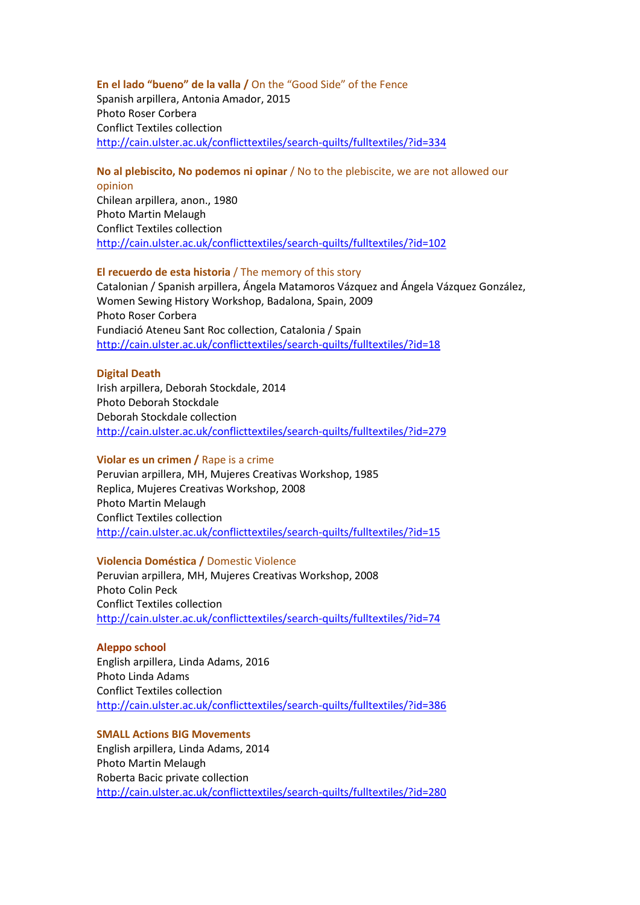#### **En el lado "bueno" de la valla /** On the "Good Side" of the Fence

Spanish arpillera, Antonia Amador, 2015 Photo Roser Corbera Conflict Textiles collection <http://cain.ulster.ac.uk/conflicttextiles/search-quilts/fulltextiles/?id=334>

## **No al plebiscito, No podemos ni opinar** / No to the plebiscite, we are not allowed our

opinion Chilean arpillera, anon., 1980 Photo Martin Melaugh Conflict Textiles collection <http://cain.ulster.ac.uk/conflicttextiles/search-quilts/fulltextiles/?id=102>

#### **El recuerdo de esta historia** / The memory of this story

Catalonian / Spanish arpillera, Ángela Matamoros Vázquez and Ángela Vázquez González, Women Sewing History Workshop, Badalona, Spain, 2009 Photo Roser Corbera Fundiació Ateneu Sant Roc collection, Catalonia / Spain <http://cain.ulster.ac.uk/conflicttextiles/search-quilts/fulltextiles/?id=18>

#### **Digital Death**

Irish arpillera, Deborah Stockdale, 2014 Photo Deborah Stockdale Deborah Stockdale collection <http://cain.ulster.ac.uk/conflicttextiles/search-quilts/fulltextiles/?id=279>

#### **Violar es un crimen /** Rape is a crime

Peruvian arpillera, MH, Mujeres Creativas Workshop, 1985 Replica, Mujeres Creativas Workshop, 2008 Photo Martin Melaugh Conflict Textiles collection <http://cain.ulster.ac.uk/conflicttextiles/search-quilts/fulltextiles/?id=15>

#### **Violencia Doméstica /** Domestic Violence

Peruvian arpillera, [MH, Mujeres Creativas Workshop,](http://cain.ulster.ac.uk/conflicttextiles/search-quilts/searchtextiles/?quilter=MH,%20Mujeres%20Creativas%20Workshop) 2008 Photo Colin Peck Conflict Textiles collection <http://cain.ulster.ac.uk/conflicttextiles/search-quilts/fulltextiles/?id=74>

#### **Aleppo school**

English arpillera, Linda Adams, 2016 Photo Linda Adams Conflict Textiles collection <http://cain.ulster.ac.uk/conflicttextiles/search-quilts/fulltextiles/?id=386>

### **SMALL Actions BIG Movements**

English arpillera, Linda Adams, 2014 Photo Martin Melaugh Roberta Bacic private collection <http://cain.ulster.ac.uk/conflicttextiles/search-quilts/fulltextiles/?id=280>